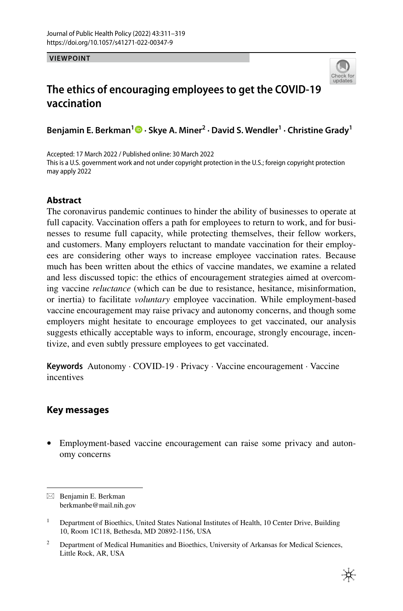**VIEWPOINT**



# **The ethics of encouraging employees to get the COVID‑19 vaccination**

**Benjamin E. Berkman<sup>1</sup> · Skye A. Miner2 · David S. Wendler1 · Christine Grady1**

Accepted: 17 March 2022 / Published online: 30 March 2022 This is a U.S. government work and not under copyright protection in the U.S.; foreign copyright protection may apply 2022

# **Abstract**

The coronavirus pandemic continues to hinder the ability of businesses to operate at full capacity. Vaccination offers a path for employees to return to work, and for businesses to resume full capacity, while protecting themselves, their fellow workers, and customers. Many employers reluctant to mandate vaccination for their employees are considering other ways to increase employee vaccination rates. Because much has been written about the ethics of vaccine mandates, we examine a related and less discussed topic: the ethics of encouragement strategies aimed at overcoming vaccine *reluctance* (which can be due to resistance, hesitance, misinformation, or inertia) to facilitate *voluntary* employee vaccination. While employment-based vaccine encouragement may raise privacy and autonomy concerns, and though some employers might hesitate to encourage employees to get vaccinated, our analysis suggests ethically acceptable ways to inform, encourage, strongly encourage, incentivize, and even subtly pressure employees to get vaccinated.

**Keywords** Autonomy · COVID-19 · Privacy · Vaccine encouragement · Vaccine incentives

# **Key messages**

• Employment-based vaccine encouragement can raise some privacy and autonomy concerns

 $\boxtimes$  Benjamin E. Berkman berkmanbe@mail.nih.gov

<sup>1</sup> Department of Bioethics, United States National Institutes of Health, 10 Center Drive, Building 10, Room 1C118, Bethesda, MD 20892-1156, USA

<sup>&</sup>lt;sup>2</sup> Department of Medical Humanities and Bioethics, University of Arkansas for Medical Sciences, Little Rock, AR, USA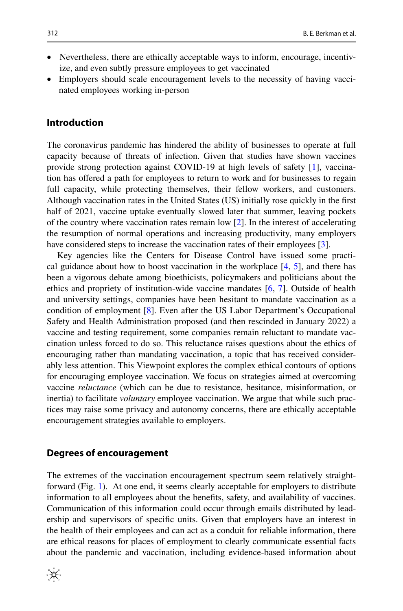- Nevertheless, there are ethically acceptable ways to inform, encourage, incentivize, and even subtly pressure employees to get vaccinated
- Employers should scale encouragement levels to the necessity of having vaccinated employees working in-person

#### **Introduction**

The coronavirus pandemic has hindered the ability of businesses to operate at full capacity because of threats of infection. Given that studies have shown vaccines provide strong protection against COVID-19 at high levels of safety [\[1](#page-7-0)], vaccination has ofered a path for employees to return to work and for businesses to regain full capacity, while protecting themselves, their fellow workers, and customers. Although vaccination rates in the United States (US) initially rose quickly in the frst half of 2021, vaccine uptake eventually slowed later that summer, leaving pockets of the country where vaccination rates remain low [\[2](#page-7-1)]. In the interest of accelerating the resumption of normal operations and increasing productivity, many employers have considered steps to increase the vaccination rates of their employees [[3\]](#page-7-2).

Key agencies like the Centers for Disease Control have issued some practical guidance about how to boost vaccination in the workplace [[4,](#page-7-3) [5](#page-7-4)], and there has been a vigorous debate among bioethicists, policymakers and politicians about the ethics and propriety of institution-wide vaccine mandates [\[6](#page-7-5), [7](#page-7-6)]. Outside of health and university settings, companies have been hesitant to mandate vaccination as a condition of employment [[8\]](#page-7-7). Even after the US Labor Department's Occupational Safety and Health Administration proposed (and then rescinded in January 2022) a vaccine and testing requirement, some companies remain reluctant to mandate vaccination unless forced to do so. This reluctance raises questions about the ethics of encouraging rather than mandating vaccination, a topic that has received considerably less attention. This Viewpoint explores the complex ethical contours of options for encouraging employee vaccination. We focus on strategies aimed at overcoming vaccine *reluctance* (which can be due to resistance, hesitance, misinformation, or inertia) to facilitate *voluntary* employee vaccination. We argue that while such practices may raise some privacy and autonomy concerns, there are ethically acceptable encouragement strategies available to employers.

#### **Degrees of encouragement**

The extremes of the vaccination encouragement spectrum seem relatively straightforward (Fig. [1\)](#page-2-0). At one end, it seems clearly acceptable for employers to distribute information to all employees about the benefts, safety, and availability of vaccines. Communication of this information could occur through emails distributed by leadership and supervisors of specifc units. Given that employers have an interest in the health of their employees and can act as a conduit for reliable information, there are ethical reasons for places of employment to clearly communicate essential facts about the pandemic and vaccination, including evidence-based information about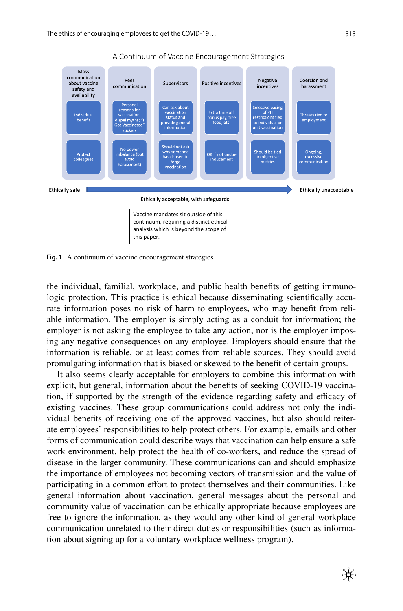

A Continuum of Vaccine Encouragement Strategies

<span id="page-2-0"></span>**Fig. 1** A continuum of vaccine encouragement strategies

the individual, familial, workplace, and public health benefts of getting immunologic protection. This practice is ethical because disseminating scientifcally accurate information poses no risk of harm to employees, who may beneft from reliable information. The employer is simply acting as a conduit for information; the employer is not asking the employee to take any action, nor is the employer imposing any negative consequences on any employee. Employers should ensure that the information is reliable, or at least comes from reliable sources. They should avoid promulgating information that is biased or skewed to the beneft of certain groups.

It also seems clearly acceptable for employers to combine this information with explicit, but general, information about the benefts of seeking COVID-19 vaccination, if supported by the strength of the evidence regarding safety and efficacy of existing vaccines. These group communications could address not only the individual benefts of receiving one of the approved vaccines, but also should reiterate employees' responsibilities to help protect others. For example, emails and other forms of communication could describe ways that vaccination can help ensure a safe work environment, help protect the health of co-workers, and reduce the spread of disease in the larger community. These communications can and should emphasize the importance of employees not becoming vectors of transmission and the value of participating in a common efort to protect themselves and their communities. Like general information about vaccination, general messages about the personal and community value of vaccination can be ethically appropriate because employees are free to ignore the information, as they would any other kind of general workplace communication unrelated to their direct duties or responsibilities (such as information about signing up for a voluntary workplace wellness program).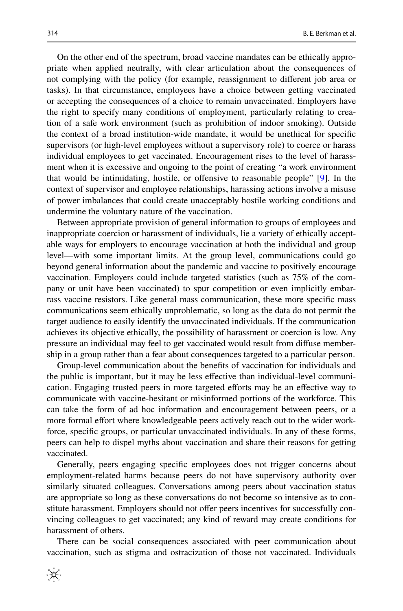On the other end of the spectrum, broad vaccine mandates can be ethically appropriate when applied neutrally, with clear articulation about the consequences of not complying with the policy (for example, reassignment to diferent job area or tasks). In that circumstance, employees have a choice between getting vaccinated or accepting the consequences of a choice to remain unvaccinated. Employers have the right to specify many conditions of employment, particularly relating to creation of a safe work environment (such as prohibition of indoor smoking). Outside the context of a broad institution-wide mandate, it would be unethical for specifc supervisors (or high-level employees without a supervisory role) to coerce or harass individual employees to get vaccinated. Encouragement rises to the level of harassment when it is excessive and ongoing to the point of creating "a work environment that would be intimidating, hostile, or ofensive to reasonable people" [\[9](#page-7-8)]. In the context of supervisor and employee relationships, harassing actions involve a misuse of power imbalances that could create unacceptably hostile working conditions and undermine the voluntary nature of the vaccination.

Between appropriate provision of general information to groups of employees and inappropriate coercion or harassment of individuals, lie a variety of ethically acceptable ways for employers to encourage vaccination at both the individual and group level—with some important limits. At the group level, communications could go beyond general information about the pandemic and vaccine to positively encourage vaccination. Employers could include targeted statistics (such as 75% of the company or unit have been vaccinated) to spur competition or even implicitly embarrass vaccine resistors. Like general mass communication, these more specifc mass communications seem ethically unproblematic, so long as the data do not permit the target audience to easily identify the unvaccinated individuals. If the communication achieves its objective ethically, the possibility of harassment or coercion is low. Any pressure an individual may feel to get vaccinated would result from difuse membership in a group rather than a fear about consequences targeted to a particular person.

Group-level communication about the benefts of vaccination for individuals and the public is important, but it may be less efective than individual-level communication. Engaging trusted peers in more targeted eforts may be an efective way to communicate with vaccine-hesitant or misinformed portions of the workforce. This can take the form of ad hoc information and encouragement between peers, or a more formal effort where knowledgeable peers actively reach out to the wider workforce, specifc groups, or particular unvaccinated individuals. In any of these forms, peers can help to dispel myths about vaccination and share their reasons for getting vaccinated.

Generally, peers engaging specifc employees does not trigger concerns about employment-related harms because peers do not have supervisory authority over similarly situated colleagues. Conversations among peers about vaccination status are appropriate so long as these conversations do not become so intensive as to constitute harassment. Employers should not ofer peers incentives for successfully convincing colleagues to get vaccinated; any kind of reward may create conditions for harassment of others.

There can be social consequences associated with peer communication about vaccination, such as stigma and ostracization of those not vaccinated. Individuals

₩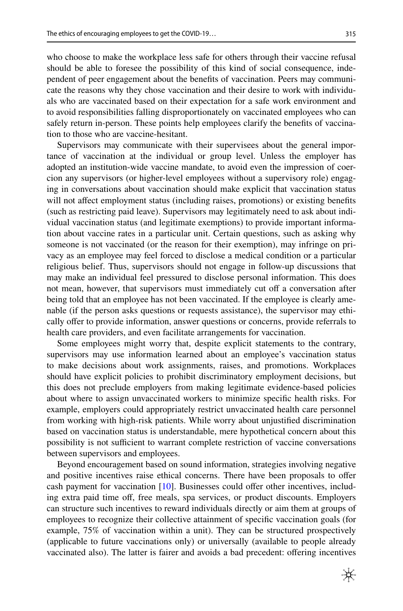who choose to make the workplace less safe for others through their vaccine refusal should be able to foresee the possibility of this kind of social consequence, independent of peer engagement about the benefts of vaccination. Peers may communicate the reasons why they chose vaccination and their desire to work with individuals who are vaccinated based on their expectation for a safe work environment and to avoid responsibilities falling disproportionately on vaccinated employees who can safely return in-person. These points help employees clarify the benefts of vaccination to those who are vaccine-hesitant.

Supervisors may communicate with their supervisees about the general importance of vaccination at the individual or group level. Unless the employer has adopted an institution-wide vaccine mandate, to avoid even the impression of coercion any supervisors (or higher-level employees without a supervisory role) engaging in conversations about vaccination should make explicit that vaccination status will not affect employment status (including raises, promotions) or existing benefits (such as restricting paid leave). Supervisors may legitimately need to ask about individual vaccination status (and legitimate exemptions) to provide important information about vaccine rates in a particular unit. Certain questions, such as asking why someone is not vaccinated (or the reason for their exemption), may infringe on privacy as an employee may feel forced to disclose a medical condition or a particular religious belief. Thus, supervisors should not engage in follow-up discussions that may make an individual feel pressured to disclose personal information. This does not mean, however, that supervisors must immediately cut off a conversation after being told that an employee has not been vaccinated. If the employee is clearly amenable (if the person asks questions or requests assistance), the supervisor may ethically ofer to provide information, answer questions or concerns, provide referrals to health care providers, and even facilitate arrangements for vaccination.

Some employees might worry that, despite explicit statements to the contrary, supervisors may use information learned about an employee's vaccination status to make decisions about work assignments, raises, and promotions. Workplaces should have explicit policies to prohibit discriminatory employment decisions, but this does not preclude employers from making legitimate evidence-based policies about where to assign unvaccinated workers to minimize specifc health risks. For example, employers could appropriately restrict unvaccinated health care personnel from working with high-risk patients. While worry about unjustifed discrimination based on vaccination status is understandable, mere hypothetical concern about this possibility is not sufficient to warrant complete restriction of vaccine conversations between supervisors and employees.

Beyond encouragement based on sound information, strategies involving negative and positive incentives raise ethical concerns. There have been proposals to ofer cash payment for vaccination [\[10](#page-7-9)]. Businesses could ofer other incentives, including extra paid time off, free meals, spa services, or product discounts. Employers can structure such incentives to reward individuals directly or aim them at groups of employees to recognize their collective attainment of specifc vaccination goals (for example, 75% of vaccination within a unit). They can be structured prospectively (applicable to future vaccinations only) or universally (available to people already vaccinated also). The latter is fairer and avoids a bad precedent: ofering incentives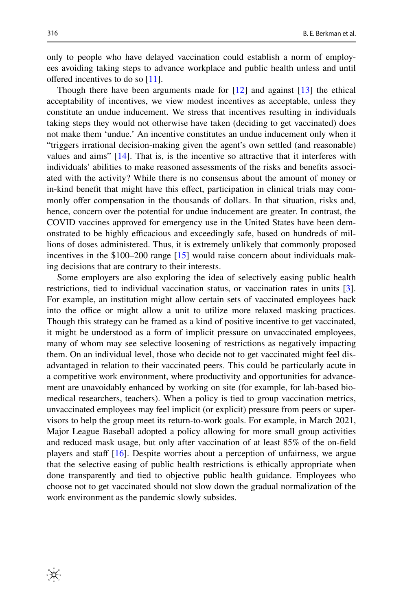only to people who have delayed vaccination could establish a norm of employees avoiding taking steps to advance workplace and public health unless and until offered incentives to do so [\[11](#page-7-10)].

Though there have been arguments made for [[12\]](#page-7-11) and against [[13\]](#page-7-12) the ethical acceptability of incentives, we view modest incentives as acceptable, unless they constitute an undue inducement. We stress that incentives resulting in individuals taking steps they would not otherwise have taken (deciding to get vaccinated) does not make them 'undue.' An incentive constitutes an undue inducement only when it "triggers irrational decision-making given the agent's own settled (and reasonable) values and aims" [\[14](#page-7-13)]. That is, is the incentive so attractive that it interferes with individuals' abilities to make reasoned assessments of the risks and benefts associated with the activity? While there is no consensus about the amount of money or in-kind beneft that might have this efect, participation in clinical trials may commonly ofer compensation in the thousands of dollars. In that situation, risks and, hence, concern over the potential for undue inducement are greater. In contrast, the COVID vaccines approved for emergency use in the United States have been demonstrated to be highly efficacious and exceedingly safe, based on hundreds of millions of doses administered. Thus, it is extremely unlikely that commonly proposed incentives in the \$100–200 range [\[15](#page-7-14)] would raise concern about individuals making decisions that are contrary to their interests.

Some employers are also exploring the idea of selectively easing public health restrictions, tied to individual vaccination status, or vaccination rates in units [[3\]](#page-7-2). For example, an institution might allow certain sets of vaccinated employees back into the office or might allow a unit to utilize more relaxed masking practices. Though this strategy can be framed as a kind of positive incentive to get vaccinated, it might be understood as a form of implicit pressure on unvaccinated employees, many of whom may see selective loosening of restrictions as negatively impacting them. On an individual level, those who decide not to get vaccinated might feel disadvantaged in relation to their vaccinated peers. This could be particularly acute in a competitive work environment, where productivity and opportunities for advancement are unavoidably enhanced by working on site (for example, for lab-based biomedical researchers, teachers). When a policy is tied to group vaccination metrics, unvaccinated employees may feel implicit (or explicit) pressure from peers or supervisors to help the group meet its return-to-work goals. For example, in March 2021, Major League Baseball adopted a policy allowing for more small group activities and reduced mask usage, but only after vaccination of at least 85% of the on-feld players and staff  $[16]$  $[16]$ . Despite worries about a perception of unfairness, we argue that the selective easing of public health restrictions is ethically appropriate when done transparently and tied to objective public health guidance. Employees who choose not to get vaccinated should not slow down the gradual normalization of the work environment as the pandemic slowly subsides.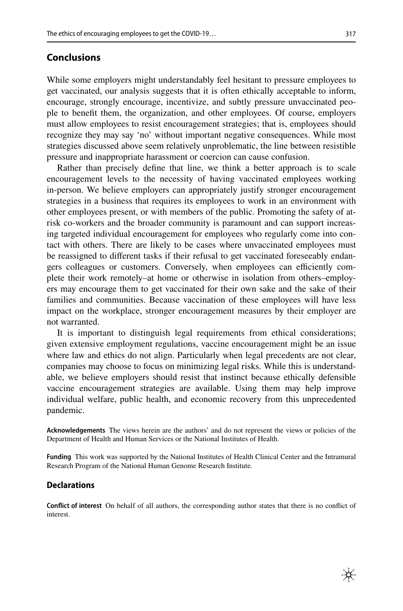### **Conclusions**

While some employers might understandably feel hesitant to pressure employees to get vaccinated, our analysis suggests that it is often ethically acceptable to inform, encourage, strongly encourage, incentivize, and subtly pressure unvaccinated people to beneft them, the organization, and other employees. Of course, employers must allow employees to resist encouragement strategies; that is, employees should recognize they may say 'no' without important negative consequences. While most strategies discussed above seem relatively unproblematic, the line between resistible pressure and inappropriate harassment or coercion can cause confusion.

Rather than precisely defne that line, we think a better approach is to scale encouragement levels to the necessity of having vaccinated employees working in-person. We believe employers can appropriately justify stronger encouragement strategies in a business that requires its employees to work in an environment with other employees present, or with members of the public. Promoting the safety of atrisk co-workers and the broader community is paramount and can support increasing targeted individual encouragement for employees who regularly come into contact with others. There are likely to be cases where unvaccinated employees must be reassigned to diferent tasks if their refusal to get vaccinated foreseeably endangers colleagues or customers. Conversely, when employees can efficiently complete their work remotely–at home or otherwise in isolation from others–employers may encourage them to get vaccinated for their own sake and the sake of their families and communities. Because vaccination of these employees will have less impact on the workplace, stronger encouragement measures by their employer are not warranted.

It is important to distinguish legal requirements from ethical considerations; given extensive employment regulations, vaccine encouragement might be an issue where law and ethics do not align. Particularly when legal precedents are not clear, companies may choose to focus on minimizing legal risks. While this is understandable, we believe employers should resist that instinct because ethically defensible vaccine encouragement strategies are available. Using them may help improve individual welfare, public health, and economic recovery from this unprecedented pandemic.

**Acknowledgements** The views herein are the authors' and do not represent the views or policies of the Department of Health and Human Services or the National Institutes of Health.

**Funding** This work was supported by the National Institutes of Health Clinical Center and the Intramural Research Program of the National Human Genome Research Institute.

#### **Declarations**

**Confict of interest** On behalf of all authors, the corresponding author states that there is no confict of interest.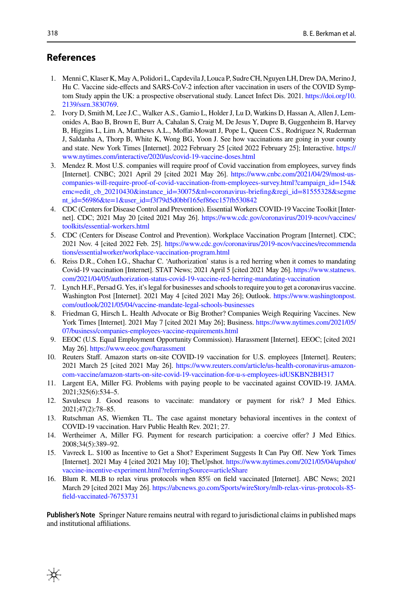## **References**

- <span id="page-7-0"></span>1. Menni C, Klaser K, May A, Polidori L, Capdevila J, Louca P, Sudre CH, Nguyen LH, Drew DA, Merino J, Hu C. Vaccine side-efects and SARS-CoV-2 infection after vaccination in users of the COVID Symptom Study appin the UK: a prospective observational study. Lancet Infect Dis. 2021. [https://doi.org/10.](https://doi.org/10.2139/ssrn.3830769) [2139/ssrn.3830769](https://doi.org/10.2139/ssrn.3830769).
- <span id="page-7-1"></span>2. Ivory D, Smith M, Lee J.C., Walker A.S., Gamio L, Holder J, Lu D, Watkins D, Hassan A, Allen J, Lemonides A, Bao B, Brown E, Burr A, Cahalan S, Craig M, De Jesus Y, Dupre B, Guggenheim B, Harvey B, Higgins L, Lim A, Matthews A.L., Moffat-Mowatt J, Pope L, Queen C.S., Rodriguez N, Ruderman J, Saldanha A, Thorp B, White K, Wong BG, Yoon J. See how vaccinations are going in your county and state. New York Times [Internet]. 2022 February 25 [cited 2022 February 25]; Interactive. [https://](https://www.nytimes.com/interactive/2020/us/covid-19-vaccine-doses.html) [www.nytimes.com/interactive/2020/us/covid-19-vaccine-doses.html](https://www.nytimes.com/interactive/2020/us/covid-19-vaccine-doses.html)
- <span id="page-7-2"></span>3. Mendez R. Most U.S. companies will require proof of Covid vaccination from employees, survey fnds [Internet]. CNBC; 2021 April 29 [cited 2021 May 26]. [https://www.cnbc.com/2021/04/29/most-us](https://www.cnbc.com/2021/04/29/most-us-companies-will-require-proof-of-covid-vaccination-from-employees-survey.html?campaign_id=154&emc=edit_cb_20210430&instance_id=30075&nl=coronavirus-briefing®i_id=81555328&segment_id=56986&te=1&user_id=f3f79d5d0bbf165ef86ec157fb530842)[companies-will-require-proof-of-covid-vaccination-from-employees-survey.html?campaign\\_id=154&](https://www.cnbc.com/2021/04/29/most-us-companies-will-require-proof-of-covid-vaccination-from-employees-survey.html?campaign_id=154&emc=edit_cb_20210430&instance_id=30075&nl=coronavirus-briefing®i_id=81555328&segment_id=56986&te=1&user_id=f3f79d5d0bbf165ef86ec157fb530842) [emc=edit\\_cb\\_20210430&instance\\_id=30075&nl=coronavirus-briefing&regi\\_id=81555328&segme](https://www.cnbc.com/2021/04/29/most-us-companies-will-require-proof-of-covid-vaccination-from-employees-survey.html?campaign_id=154&emc=edit_cb_20210430&instance_id=30075&nl=coronavirus-briefing®i_id=81555328&segment_id=56986&te=1&user_id=f3f79d5d0bbf165ef86ec157fb530842) [nt\\_id=56986&te=1&user\\_id=f3f79d5d0bbf165ef86ec157fb530842](https://www.cnbc.com/2021/04/29/most-us-companies-will-require-proof-of-covid-vaccination-from-employees-survey.html?campaign_id=154&emc=edit_cb_20210430&instance_id=30075&nl=coronavirus-briefing®i_id=81555328&segment_id=56986&te=1&user_id=f3f79d5d0bbf165ef86ec157fb530842)
- <span id="page-7-3"></span>4. CDC (Centers for Disease Control and Prevention). Essential Workers COVID-19 Vaccine Toolkit [Internet]. CDC; 2021 May 20 [cited 2021 May 26]. [https://www.cdc.gov/coronavirus/2019-ncov/vaccines/](https://www.cdc.gov/coronavirus/2019-ncov/vaccines/toolkits/essential-workers.html) [toolkits/essential-workers.html](https://www.cdc.gov/coronavirus/2019-ncov/vaccines/toolkits/essential-workers.html)
- <span id="page-7-4"></span>5. CDC (Centers for Disease Control and Prevention). Workplace Vaccination Program [Internet]. CDC; 2021 Nov. 4 [cited 2022 Feb. 25]. [https://www.cdc.gov/coronavirus/2019-ncov/vaccines/recommenda](https://www.cdc.gov/coronavirus/2019-ncov/vaccines/recommendations/essentialworker/workplace-vaccination-program.html) [tions/essentialworker/workplace-vaccination-program.html](https://www.cdc.gov/coronavirus/2019-ncov/vaccines/recommendations/essentialworker/workplace-vaccination-program.html)
- <span id="page-7-5"></span>6. Reiss D.R., Cohen I.G., Shachar C. 'Authorization' status is a red herring when it comes to mandating Covid-19 vaccination [Internet]. STAT News; 2021 April 5 [cited 2021 May 26]. [https://www.statnews.](https://www.statnews.com/2021/04/05/authorization-status-covid-19-vaccine-red-herring-mandating-vaccination) [com/2021/04/05/authorization-status-covid-19-vaccine-red-herring-mandating-vaccination](https://www.statnews.com/2021/04/05/authorization-status-covid-19-vaccine-red-herring-mandating-vaccination)
- <span id="page-7-6"></span>7. Lynch H.F., Persad G. Yes, it's legal for businesses and schools to require you to get a coronavirus vaccine. Washington Post [Internet]. 2021 May 4 [cited 2021 May 26]; Outlook. [https://www.washingtonpost.](https://www.washingtonpost.com/outlook/2021/05/04/vaccine-mandate-legal-schools-businesses) [com/outlook/2021/05/04/vaccine-mandate-legal-schools-businesses](https://www.washingtonpost.com/outlook/2021/05/04/vaccine-mandate-legal-schools-businesses)
- <span id="page-7-7"></span>8. Friedman G, Hirsch L. Health Advocate or Big Brother? Companies Weigh Requiring Vaccines. New York Times [Internet]. 2021 May 7 [cited 2021 May 26]; Business. [https://www.nytimes.com/2021/05/](https://www.nytimes.com/2021/05/07/business/companies-employees-vaccine-requirements.html) [07/business/companies-employees-vaccine-requirements.html](https://www.nytimes.com/2021/05/07/business/companies-employees-vaccine-requirements.html)
- <span id="page-7-8"></span>9. EEOC (U.S. Equal Employment Opportunity Commission). Harassment [Internet]. EEOC; [cited 2021 May 26].<https://www.eeoc.gov/harassment>
- <span id="page-7-9"></span>10. Reuters Staf. Amazon starts on-site COVID-19 vaccination for U.S. employees [Internet]. Reuters; 2021 March 25 [cited 2021 May 26]. [https://www.reuters.com/article/us-health-coronavirus-amazon](https://www.reuters.com/article/us-health-coronavirus-amazon-com-vaccine/amazon-starts-on-site-covid-19-vaccination-for-u-s-employees-idUSKBN2BH317)[com-vaccine/amazon-starts-on-site-covid-19-vaccination-for-u-s-employees-idUSKBN2BH317](https://www.reuters.com/article/us-health-coronavirus-amazon-com-vaccine/amazon-starts-on-site-covid-19-vaccination-for-u-s-employees-idUSKBN2BH317)
- <span id="page-7-10"></span>11. Largent EA, Miller FG. Problems with paying people to be vaccinated against COVID-19. JAMA. 2021;325(6):534–5.
- <span id="page-7-11"></span>12. Savulescu J. Good reasons to vaccinate: mandatory or payment for risk? J Med Ethics. 2021;47(2):78–85.
- <span id="page-7-12"></span>13. Rutschman AS, Wiemken TL. The case against monetary behavioral incentives in the context of COVID-19 vaccination. Harv Public Health Rev. 2021; 27.
- <span id="page-7-13"></span>14. Wertheimer A, Miller FG. Payment for research participation: a coercive ofer? J Med Ethics. 2008;34(5):389–92.
- <span id="page-7-14"></span>15. Vavreck L. \$100 as Incentive to Get a Shot? Experiment Suggests It Can Pay Of. New York Times [Internet]. 2021 May 4 [cited 2021 May 10]; TheUpshot. [https://www.nytimes.com/2021/05/04/upshot/](https://www.nytimes.com/2021/05/04/upshot/vaccine-incentive-experiment.html?referringSource=articleShare) [vaccine-incentive-experiment.html?referringSource=articleShare](https://www.nytimes.com/2021/05/04/upshot/vaccine-incentive-experiment.html?referringSource=articleShare)
- <span id="page-7-15"></span>16. Blum R. MLB to relax virus protocols when 85% on feld vaccinated [Internet]. ABC News; 2021 March 29 [cited 2021 May 26]. [https://abcnews.go.com/Sports/wireStory/mlb-relax-virus-protocols-85](https://abcnews.go.com/Sports/wireStory/mlb-relax-virus-protocols-85-field-vaccinated-76753731) [feld-vaccinated-76753731](https://abcnews.go.com/Sports/wireStory/mlb-relax-virus-protocols-85-field-vaccinated-76753731)

**Publisher's Note** Springer Nature remains neutral with regard to jurisdictional claims in published maps and institutional affiliations.